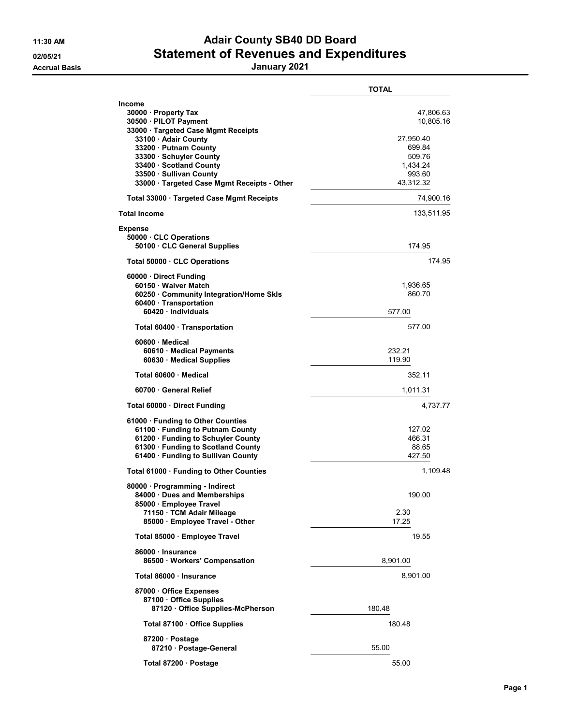## 11:30 AM **Adair County SB40 DD Board** 02/05/21 Statement of Revenues and Expenditures

Accrual Basis January 2021

|                                                                                                                                                                                                                                                                                 | <b>TOTAL</b>                                                                               |
|---------------------------------------------------------------------------------------------------------------------------------------------------------------------------------------------------------------------------------------------------------------------------------|--------------------------------------------------------------------------------------------|
| Income<br>30000 · Property Tax<br>30500 · PILOT Payment<br>33000 · Targeted Case Mgmt Receipts<br>33100 · Adair County<br>33200 · Putnam County<br>33300 · Schuyler County<br>33400 · Scotland County<br>33500 · Sullivan County<br>33000 · Targeted Case Mgmt Receipts - Other | 47,806.63<br>10,805.16<br>27,950.40<br>699.84<br>509.76<br>1,434.24<br>993.60<br>43,312.32 |
| Total 33000 · Targeted Case Mgmt Receipts                                                                                                                                                                                                                                       | 74,900.16                                                                                  |
| <b>Total Income</b>                                                                                                                                                                                                                                                             | 133,511.95                                                                                 |
| <b>Expense</b><br>50000 CLC Operations<br>50100 CLC General Supplies                                                                                                                                                                                                            | 174.95                                                                                     |
| Total 50000 · CLC Operations                                                                                                                                                                                                                                                    | 174.95                                                                                     |
| 60000 Direct Funding<br>60150 · Waiver Match<br>60250 Community Integration/Home Skls<br>60400 · Transportation<br>60420 · Individuals                                                                                                                                          | 1,936.65<br>860.70<br>577.00                                                               |
| Total 60400 Transportation                                                                                                                                                                                                                                                      | 577.00                                                                                     |
| 60600 · Medical<br>60610 · Medical Payments<br>60630 Medical Supplies                                                                                                                                                                                                           | 232.21<br>119.90                                                                           |
| Total 60600 Medical                                                                                                                                                                                                                                                             | 352.11                                                                                     |
| 60700 General Relief                                                                                                                                                                                                                                                            | 1,011.31                                                                                   |
| Total 60000 Direct Funding                                                                                                                                                                                                                                                      | 4,737.77                                                                                   |
| 61000 · Funding to Other Counties<br>61100 · Funding to Putnam County<br>61200 · Funding to Schuyler County<br>61300 · Funding to Scotland County<br>61400 · Funding to Sullivan County                                                                                         | 127.02<br>466.31<br>88.65<br>427.50                                                        |
| Total 61000 · Funding to Other Counties                                                                                                                                                                                                                                         | 1,109.48                                                                                   |
| 80000 · Programming - Indirect<br>84000 Dues and Memberships<br>85000 · Employee Travel<br>71150 TCM Adair Mileage<br>85000 · Employee Travel - Other                                                                                                                           | 190.00<br>2.30<br>17.25                                                                    |
| Total 85000 · Employee Travel                                                                                                                                                                                                                                                   | 19.55                                                                                      |
| 86000 · Insurance<br>86500 · Workers' Compensation                                                                                                                                                                                                                              | 8,901.00                                                                                   |
| Total 86000 · Insurance                                                                                                                                                                                                                                                         | 8,901.00                                                                                   |
| 87000 Office Expenses<br>87100 Office Supplies<br>87120 Office Supplies-McPherson                                                                                                                                                                                               | 180.48                                                                                     |
| Total 87100 · Office Supplies                                                                                                                                                                                                                                                   | 180.48                                                                                     |
| 87200 · Postage<br>87210 · Postage-General                                                                                                                                                                                                                                      | 55.00                                                                                      |
| Total 87200 · Postage                                                                                                                                                                                                                                                           | 55.00                                                                                      |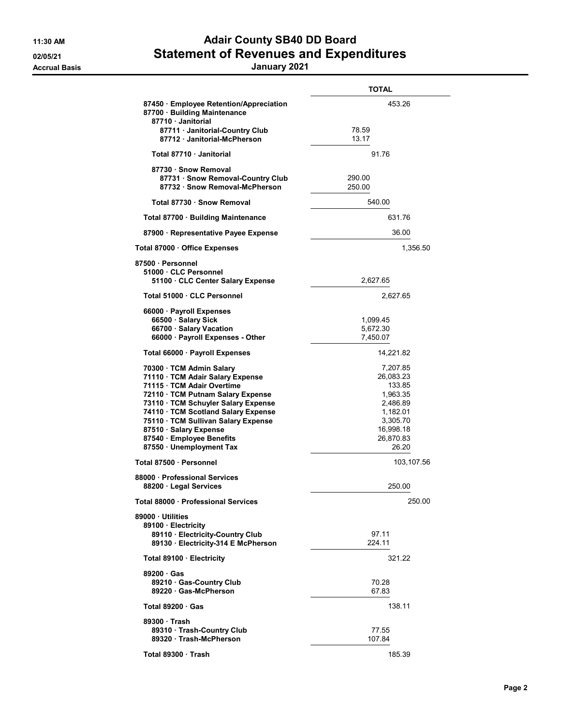## 11:30 AM **Adair County SB40 DD Board** 02/05/21 Statement of Revenues and Expenditures

## Accrual Basis January 2021

|                                                                                                                                                                                                                                                                                                                                       | TOTAL                                                                                                              |
|---------------------------------------------------------------------------------------------------------------------------------------------------------------------------------------------------------------------------------------------------------------------------------------------------------------------------------------|--------------------------------------------------------------------------------------------------------------------|
| 87450 Employee Retention/Appreciation<br>87700 · Building Maintenance<br>87710 Janitorial                                                                                                                                                                                                                                             | 453.26                                                                                                             |
| 87711 Janitorial-Country Club<br>87712 Janitorial-McPherson                                                                                                                                                                                                                                                                           | 78.59<br>13.17                                                                                                     |
| Total 87710 · Janitorial                                                                                                                                                                                                                                                                                                              | 91.76                                                                                                              |
| 87730 · Snow Removal<br>87731 · Snow Removal-Country Club<br>87732 Snow Removal-McPherson                                                                                                                                                                                                                                             | 290.00<br>250.00                                                                                                   |
| Total 87730 · Snow Removal                                                                                                                                                                                                                                                                                                            | 540.00                                                                                                             |
| Total 87700 · Building Maintenance                                                                                                                                                                                                                                                                                                    | 631.76                                                                                                             |
| 87900 · Representative Payee Expense                                                                                                                                                                                                                                                                                                  | 36.00                                                                                                              |
| Total 87000 Office Expenses                                                                                                                                                                                                                                                                                                           | 1,356.50                                                                                                           |
| 87500 · Personnel                                                                                                                                                                                                                                                                                                                     |                                                                                                                    |
| 51000 CLC Personnel<br>51100 CLC Center Salary Expense                                                                                                                                                                                                                                                                                | 2,627.65                                                                                                           |
| Total 51000 · CLC Personnel                                                                                                                                                                                                                                                                                                           | 2,627.65                                                                                                           |
| 66000 · Payroll Expenses<br>66500 · Salary Sick<br>66700 · Salary Vacation                                                                                                                                                                                                                                                            | 1,099.45<br>5,672.30                                                                                               |
| 66000 · Payroll Expenses - Other                                                                                                                                                                                                                                                                                                      | 7,450.07                                                                                                           |
| Total 66000 · Payroll Expenses                                                                                                                                                                                                                                                                                                        | 14,221.82                                                                                                          |
| 70300 · TCM Admin Salary<br>71110 · TCM Adair Salary Expense<br>71115 · TCM Adair Overtime<br>72110 TCM Putnam Salary Expense<br>73110 · TCM Schuyler Salary Expense<br>74110 · TCM Scotland Salary Expense<br>75110 · TCM Sullivan Salary Expense<br>87510 · Salary Expense<br>87540 · Employee Benefits<br>87550 · Unemployment Tax | 7,207.85<br>26,083.23<br>133.85<br>1,963.35<br>2,486.89<br>1,182.01<br>3,305.70<br>16,998.18<br>26,870.83<br>26.20 |
| Total 87500 · Personnel                                                                                                                                                                                                                                                                                                               | 103,107.56                                                                                                         |
| 88000 · Professional Services<br>88200 Legal Services                                                                                                                                                                                                                                                                                 | 250.00                                                                                                             |
| Total 88000 · Professional Services                                                                                                                                                                                                                                                                                                   | 250.00                                                                                                             |
| 89000 Utilities<br>89100 · Electricity<br>89110 · Electricity-Country Club<br>89130 · Electricity-314 E McPherson                                                                                                                                                                                                                     | 97.11<br>224.11                                                                                                    |
| Total 89100 · Electricity                                                                                                                                                                                                                                                                                                             | 321.22                                                                                                             |
| 89200 Gas<br>89210 Gas-Country Club<br>89220 Gas-McPherson                                                                                                                                                                                                                                                                            | 70.28<br>67.83                                                                                                     |
| Total $89200 \cdot Gas$                                                                                                                                                                                                                                                                                                               | 138.11                                                                                                             |
| 89300 Trash<br>89310 · Trash-Country Club<br>89320 Trash-McPherson                                                                                                                                                                                                                                                                    | 77.55<br>107.84                                                                                                    |
| Total 89300 · Trash                                                                                                                                                                                                                                                                                                                   | 185.39                                                                                                             |